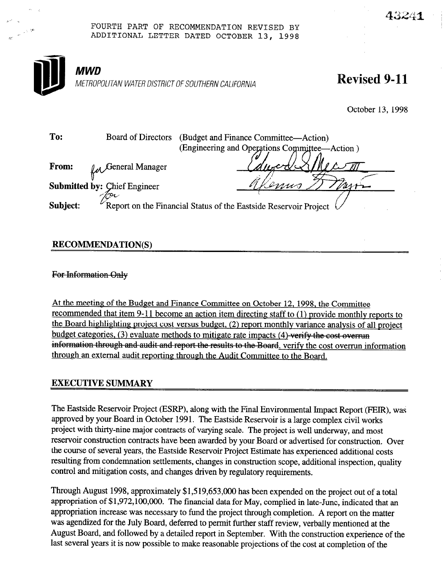

## **RECOMMENDATION(S)**

For Information Only

 $\sim$ 

6" >

At the meeting of the Budget and Finance Committee on October 12, 1998, the Committee recommended that item 9-11 become an action item directing staff to (1) provide monthly reports to the Board highlighting project cost versus budget, (2) report monthlv variance analysis of all project budget categories,  $(3)$  evaluate methods to mitigate rate impacts  $(4)$ -verify the cost-overrun information through and audit and report the results to the Board, verify the cost overrun information through an external audit reporting through the Audit Committee to the Board.

## EXECUTIVE SUMMARY

The Eastside Reservoir Project (ESRP), along with the Final Environmental Impact Report (FEIR), was approved by your Board in October 1991. The Eastside Reservoir is a large complex civil works project with thirty-nine major contracts of varying scale. The project is well underway, and most reservoir construction contracts have been awarded by your Board or advertised for construction. Over the course of several years, the Eastside Reservoir Project Estimate has experienced additional costs resulting from condemnation settlements, changes in construction scope, additional inspection, quality control and mitigation costs, and changes driven by regulatory requirements.

Through August 1998, approximately \$1,519,653,0oo has been expended on the project out of a total appropriation of \$1,972,100,000. The financial data for May, complied in late-June, indicated that an appropriation increase was necessary to fund the project through completion. A report on the matter was agendized for the July Board, deferred to permit further staff review, verbally mentioned at the August Board, and followed by a detailed report in September. With the construction experience of the last several years it is now possible to make reasonable projections of the cost at completion of the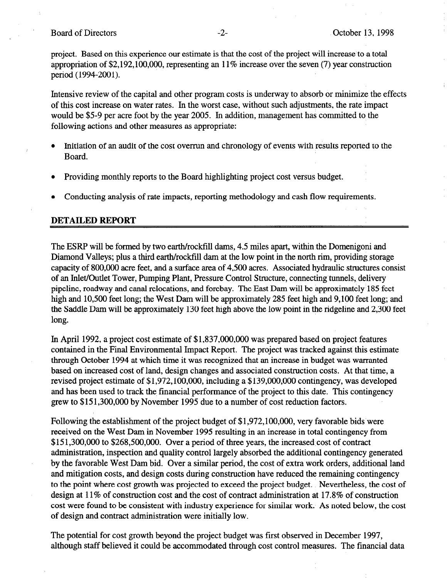project. Based on this experience our estimate is that the cost of the project will increase to a total appropriation of \$2,192,100,000, representing an 11% increase over the seven (7) year construction period (1994-2001).

Intensive review of the capital and other program costs is underway to absorb or minimize the effects of this cost increase on water rates. In the worst case, without such adjustments, the rate impact would be \$5-9 per acre foot by the year 2005. In addition, management has committed to the following actions and other measures as appropriate:

- Initiation of an audit of the cost overrun and chronology of events with results reported to the Board.
- Providing monthly reports to the Board highlighting project cost versus budget.
- Conducting analysis of rate impacts, reporting methodology and cash flow requirements.

## DETAILED REPORT

The ESRP will be formed by two earth/rockfill dams, 4.5 miles apart, within the Domenigoni and Diamond Valleys; plus a third earth/rockfill dam at the low point in the north rim, providing storage capacity of 800,000 acre feet, and a surface area of 4,500 acres. Associated hydraulic structures consist of an Inlet/Outlet Tower, Pumping Plant, Pressure Control Structure, connecting tunnels, delivery pipeline, roadway and canal relocations, and forebay. The East Dam will be approximately 185 feet high and 10,500 feet long; the West Dam will be approximately 285 feet high and 9,100 feet long; and the Saddle Dam will be approximately 130 feet high above the low point in the ridgeline and 2,300 feet long.

In April 1992, a project cost estimate of \$1,837,000,000 was prepared based on project features contained in the Final Environmental Impact Report. The project was tracked against this estimate through October 1994 at which time it was recognized that an increase in budget was warranted based on increased cost of land, design changes and associated construction costs. At that time, a revised project estimate of \$1,972,100,000, including a \$139,000,000 contingency, was developed and has been used to track the financial performance of the project to this date. This contingency grew to \$15 1,300,OOO by November 1995 due to a number of cost reduction factors.

Following the establishment of the project budget of \$1,972,100,000, very favorable bids were received on the West Dam in November 1995 resulting in an increase in total contingency from \$151,300,000 to \$268,500,000. Over a period of three years, the increased cost of contract administration, inspection and quality control largely absorbed the additional contingency generated by the favorable West Dam bid. Over a similar period, the cost of extra work orders, additional land and mitigation costs, and design costs during construction have reduced the remaining contingency to the point where cost growth was projected to exceed the project budget. Nevertheless, the cost of design at 11% of construction cost and the cost of contract administration at 17.8% of construction cost were found to be consistent with industry experience for similar work. As noted below, the cost of design and contract administration were initially low.

The potential for cost growth beyond the project budget was first observed in December 1997, although staff believed it could be accommodated through cost control measures. The financial data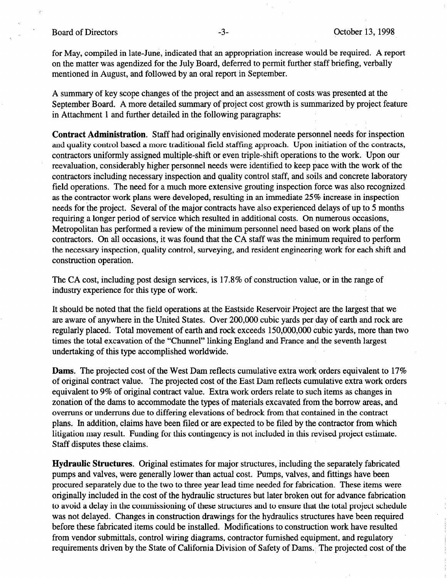for May, compiled in late-June, indicated that an appropriation increase would be required. A report on the matter was agendized for the July Board, deferred to permit further staff briefing, verbally mentioned in August, and followed by an oral report in September.

A summary of key scope changes of the project and an assessment of costs'was presented at the September Board. A more detailed summary of project cost growth is summarized by project feature in Attachment 1 and further detailed in the following paragraphs:

Contract Administration. Staff had originally envisioned moderate personnel needs for inspection and quality control based a more traditional field staffing approach. Upon initiation of the contracts, contractors uniformly assigned multiple-shift or even triple-shift operations to the work. Upon our reevaluation, considerably higher personnel needs were identified to keep pace with the work of the contractors including necessary inspection and quality control staff, and soils and concrete laboratory field operations. The need for a much more extensive grouting inspection force was also recognized as the contractor work plans were developed, resulting in an immediate 25% increase in inspection needs for the project. Several of the major contracts have also experienced delays of up to 5 months requiring a longer period of service which resulted in additional costs. On numerous occasions, Metropolitan has performed a review of the minimum personnel need based on work plans of the contractors. On all occasions, it was found that the CA staff was the minimum required to perform the necessary inspection, quality control, surveying, and resident engineering work for each shift and construction operation.

The CA cost, including post design services, is 17.8% of construction value, or in the range of industry experience for this type of work.

It should be noted that the field operations at the Eastside Reservoir Project are the largest that we are aware of anywhere in the United States. Over 200,000 cubic yards per day of earth and rock are regularly placed. Total movement of earth and rock exceeds 150,000,000 cubic yards, more than two times the total excavation of the "Chunnel" linking England and France and the seventh largest undertaking of this type accomplished worldwide.

Dams. The projected cost of the West Dam reflects cumulative extra work orders equivalent to 17% of original contract value. The projected cost of the East Dam reflects cumulative extra work orders equivalent to 9% of original contract value. Extra work orders relate to such items as changes in zonation of the dams to accommodate the types of materials excavated from the borrow areas, and overruns or underruns due to differing elevations of bedrock from that contained in the contract plans. In addition, claims have been filed or are expected to be filed by the contractor from which litigation may result. Funding for this contingency is not included in this revised project estimate. Staff disputes these claims.

Hydraulic Structures. Original estimates for major structures, including the separately fabricated pumps and valves, were generally lower than actual cost. Pumps, valves, and fittings have been procured separately due to the two to three year lead time needed for fabrication. These items were originally included in the cost of the hydraulic structures but later broken out for advance fabrication to avoid a delay in the commissioning of these structures and to ensure that the total project schedule was not delayed. Changes in construction drawings for the hydraulics structures have been required before these fabricated items could be installed. Modifications to construction work have resulted from vendor submittals, control wiring diagrams, contractor furnished equipment, and regulatory requirements driven by the State of California Division of Safety of Dams. The projected cost of the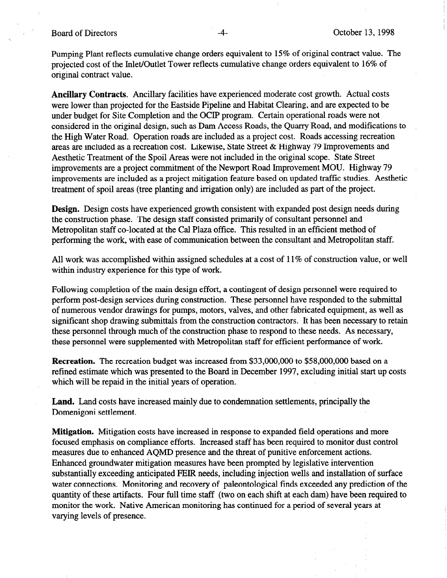## Board of Directors **-4**- October 13, 1998

Pumping Plant reflects cumulative change orders equivalent to 15% of original contract value. The projected cost of the Inlet/Outlet Tower reflects cumulative change orders equivalent to 16% of original contract value.

Ancillary Contracts. Ancillary facilities have experienced moderate cost growth. Actual costs were lower than projected for the Eastside Pipeline and Habitat Clearing, and are expected to be under budget for Site Completion and the OCIP program. Certain operational roads were not considered in the original design, such as Dam Access Roads, the Quarry Road, and modifications to the High Water Road. Operation roads are included as a project cost. Roads accessing recreation areas are included as a recreation cost. Likewise, State Street & Highway 79 Improvements and Aesthetic Treatment of the Spoil Areas were not included in the original scope. State Street improvements are a project commitment of the Newport Road Improvement MOU. Highway 79 improvements are included as a project mitigation feature based on updated traffic studies. Aesthetic treatment of spoil areas (tree planting and irrigation only) are included as part of the project.

Design. Design costs have experienced growth consistent with expanded post design needs during the construction phase. The design staff consisted primarily of consultant personnel and Metropolitan staff co-located at the Cal Plaza office. This resulted in an efficient method of performing'the work, with ease of communication between the consultant and Metropolitan staff.

All work was accomplished within assigned schedules at a cost of 11% of construction value, or well within industry experience for this type of work.

Following completion of the main design effort, a contingent of design personnel were required to perform post-design services during construction. These personnel have responded to the submittal of numerous vendor drawings for pumps, motors, valves, and other fabricated equipment, as well as significant shop drawing submittals from the construction contractors. It has been necessary to retain these personnel through much of the construction phase to respond to these needs. As necessary, these personnel were supplemented with Metropolitan staff for efficient performance of work.

Recreation. The recreation budget was increased from \$33,000,000 to \$58,000,000 based on a refined estimate which was presented to the Board in December 1997, excluding initial start up costs which will be repaid in the initial years of operation.

Land. Land costs have increased mainly due to condemnation settlements, principally the Domenigoni settlement.

Mitigation. Mitigation costs have increased in response to expanded field operations and more focused emphasis on compliance efforts. Increased staff has been required to monitor dust control measures due to enhanced AQMD presence and the threat of punitive enforcement actions. Enhanced groundwater mitigation measures have been prompted by legislative intervention substantially exceeding anticipated FEIR needs, including injection wells and installation of surface water connections. Monitoring and recovery of paleontological finds exceeded any prediction of the quantity of these artifacts. Four full time staff (two on each shift at each dam) have been required to monitor the work. Native American monitoring has continued for a period of several years at varying levels of presence.